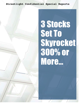Streetlight Confidential Special Reports

# 3 Stocks Set To Skyrocket 300% or More…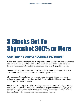# 3 Stocks Set To Skyrocket 300% or More

# **COMPANY #1: ONDAS HOLDINGS INC (ONDS)**

When Wall Street wants to invest in edge computing, the first two companies that come to mind are Cloudflare and Fastly. These are good companies, but their focus is on creating data centers in large cities and densely populated areas.

There's a lot of space and entire industries outside America's largest cities that also need the most innovative wireless technology available.

The transportation industry, for example, is in dire need of high-speed and reliable communications services for their fleets and to fulfill their product and service promises to customers.

I want to introduce you to Ondas Holdings Inc (ONDS). While this \$300 million company is too small to garner the attention of major Wall Street analysts, it is actively filling the unmet need of industries, many of them set in rural America, that need rock-solid internet and communications services.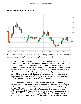

#### **Ondas Holdings Inc (ONDS)**

Here's how Ondas describes itself in its quarterly 10Q filing with the Securities and Exchange (SEC) Commission [emphasis is my own]:

*"Ondas Holdings is a leading provider of private wireless, drone, and automated data solutions through its wholly-owned subsidiaries Ondas Networks Inc. ("Ondas Networks") and American Robotics, Inc. ("American Robotics" or "AR"). Ondas Networks and American Robotics together provide users in rail, energy, mining, agriculture, and critical infrastructure markets with improved connectivity, data collection capabilities, and automated decision-making to improve operations. Ondas operates these two subsidiaries as separate business segments, and the following is a discussion of each segment.*

*Ondas Networks provides wireless connectivity solutions enabling mission-critical Industrial Internet applications and services. We refer to these applications as the Mission-Critical Internet of Things ("MC-IoT"). Our wireless networking products are applicable to a wide range of MC-IoT applications, which are most often located at the very edge of large industrial networks. These applications require secure, real-time connectivity with the ability to process large amounts*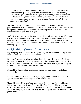*of data at the edge of large industrial networks. Such applications are required in all of the major critical infrastructure markets, including rail, electric grids, drones, oil and gas, public safety, homeland security, and government, where secure, reliable, and fast operational decisions are required in order to improve efficiency and ensure a high degree of safety and security."*

The above description doesn't make it entirely clear that security and performance restrictions demand that private mission-critical wireless networks be separate from the public internet. It's also important to note that these networks must be privately managed.

Suffice it to say that groups like first responders, railroads, utility providers, and any company providing mission-critical tasks require robust and reliable networks. And between the company's two divisions, Ondas Networks and American Robotics (AR), it's believed that Ondas has a total addressable market of nearly \$50 billion.

#### **A High-Risk, High-Reward Investment**

Any company with the potential to skyrocket 300% or more in a short period is bound to be risky. And Ondas is no different.

While Ondas appears to have developed an advanced edge cloud technology for private mission-critical wireless markets, and the company does plan to utilize a software as a service (SaaS) revenue model, this is still an early-stage company with little in the way of revenue or cash flow.

At roughly a \$300 million market cap, Ondas has enormous potential and absolute risk.

Given the company's small market cap, large purchase orders could have a significant and immediate impact on the bottom line.

That said, even with virtually no long-term debt and around \$32 million on the balance sheet, we can't ignore the possibility that *if* Ondas fails to generate substantial revenue by the end of 2022 in the form of binding purchase orders (for either company division), we may see the company need to raise cash in the public markets.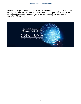My baseline expectation for Ondas is if the company can manage its cash during its very long sales cycles, and if industries such as the legacy rail providers are willing to upgrade their networks, I believe the company can grow into a \$1+ billion industry leader.

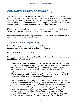### **COMPANY #2: UNITY SOFTWARE (U)**

Cryptocurrency, nonfungible tokens (NFT), and all things metaverse are synonymous with two things: price volatility, and explosive growth. And while 2022 has provided significantly more price volatility than apparent growth, many analysts believe that the metaverse and all things crypto are where aggressive, growth-oriented investors need to be over the next few years.

If you want to invest directly in the cryptocurrency market, you can invest directly into Bitcoin, Ethereum, Matic, or countless other "coins."

But for those that prefer to keep things on Wall Street and invest in traditional companies, look at Unity Software (U).

#### **A Trillion-Dollar Opportunity**

Without bringing too much hyperbole into the discussion, many people believe the metaverse is the next trillion-dollar opportunity.

But what exactly is the metaverse?

Here's how Mark Zuckerberg, CEO of Meta Platforms, described the metaverse to the old folks on Wall Street:

*"So what is the metaverse? It's a virtual environment. We can be present with people in digital spaces. And you can kind of think about this as an embodied Internet that you're inside of rather than just looking at. And we believe that this is going to be the successor to the mobile Internet. You're going to be able to access the metaverse from all different devices and levels of fidelity, from apps on phones and PCs to immersive virtual and augmented reality devices.*

*You can build a hangout, play games with friends, work, create, and more within the metaverse. You're going to be able to do everything that you can on the Internet today, as well as some things that don't make sense on the Internet today, like dancing. The defining quality of the metaverse is presence, which is this feeling that you're there with another person or in another place. Creation, avatars, and digital objects will be central to how we express ourselves, and this will lead to entirely new experiences and economic opportunities. I think that,*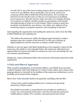*overall, this is one of the most exciting projects that we're going to get to work on in our lifetime. But it could take a lot of work, and no one company will be able to build this all by themselves. Part of what I've learned over the last five years is that we can't just focus on building great experiences. We also need to make sure that we're helping develop an ecosystem so millions of other people can participate in the upside and opportunity of what we're all creating. They're going to need new protocols and standards, new devices, new chips, new software from rendering engines to payment systems, and everything in between."* 

And regarding the opportunity surrounding the metaverse, here's how the folks at Meta Platforms see it playing out:

*"We believe the metaverse will be the biggest opportunity for modern business since the creation of the internet. It's the next evolution of digital platforms and the successor to today's mobile internet."*

Whether or not you agree with Mark Zuckerberg or his company's vision for the metaverse, the reality is a lot of people believe the metaverse will unlock new opportunities for buyers and sellers to connect in a new way and change the way we consume entertainment.

Simply put, crypto enthusiasts believe the metaverse will enhance physical-world experiences.

#### **A Pick-and-Shovel Approach**

With a market capitalization of around \$12 billion, you'd think more investors would be familiar with Unity Software (U). But in truth, unless you're deep in the gaming industry or involved in the buildout of the metaverse architecture, you've probably never heard of this company.

Here's how Unity describes itself in its quarterly 10Q filing with the SEC:

*"Unity is the world's leading platform for creating and operating interactive, RT3D content.* 

*Our platform provides a comprehensive set of software solutions to create, run, and monetize interactive, real-time 2D and 3D content for mobile phones, tablets, PCs, consoles, and augmented and virtual*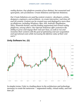*reality devices. Our platform consists of two distinct, but connected and synergistic, sets of solutions: Create Solutions and Operate Solutions.* 

*Our Create Solutions are used by content creators—developers, artists, designers, engineers, and architects—to create interactive, real-time 2D and 3D content. Content can be created once and deployed to more than 20 platforms, including Windows, Mac, iOS, Android, PlayStation, Xbox, Nintendo Switch, and the leading augmented and virtual reality platforms, among others. Our Operate Solutions offer customers the ability to grow and engage their end-user base, as well as run and monetize their content with the goal of optimizing end-user acquisition and operational costs while increasing the lifetime value of their endusers."*



#### **Unity Software Inc. (U)**

In simpler terms, Unity is a leading player in the architecture and technology necessary to create the metaverse — augmented reality, virtual reality, and realtime 3D.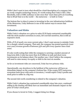While I don't want to turn what should be a brief description of a company into an overly complex technology lesson, it's worth noting that Unity's CEO, John Riccitiello, told a CNBC audience in late-2021 that "more than 50% of everything that is RT3D that is in the world — the metaverse — is built in Unity."

The bottom line is when it comes to investing in the core infrastructure buildout of the Metaverse, Unity Software is one of the easiest ways to secure that investment.

#### **Valuation and Risks**

While Unity's valuation on a price-to-sales (P/S) basis contracted considerably with the stock market correction in 2022, let's not kid ourselves, this is still an expensive stock.

With a P/S of nearly 10x 2022 current sales, I don't want anyone to mistake Unity for a cheaply valued company. That said, the company has posted quarterly (yearover-year) revenue growth of between 53% and 36% every quarter since June 2020.

It's also worth noting that while the company is carrying a modest amount of long-term debt, it also has more than \$1.8 billion in cash and short-term investments on its balance sheet. Put another way, I don't believe the company will need to raise money via equity or debt in the next six months.

As far as investment risks are concerned, Unity has two primary risks.

Operationally, any slowdown in the buildout of the metaverse will have an immediate impact on the company's bottom line. If the crypto/NFT/metaverse ecosystem loses favor with users or investors, I would expect Unity's profits and stock price to suffer in a big way.

The second risk worth considering is related to the company's valuation.

While Unity's valuation has contracted considerably since late-2021, continued selling in the Nasdaq will likely have an immediate and dramatic impact on the price of Unity's stock price.

If you choose to invest in Unity, I suggest doing two things.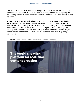The first is to invest with a three- to five-year time horizon. It's impossible to know how the adoption of the metaverse will change over time, but giving the technology several years to reach mainstream status will likely reduce day-to-day volatility.

In addition to investing with a long-term time horizon, I would invest in pieces. Price volatility around high-growth companies like Unity is a fact of life. To reduce that pain of seeing prices swing wildly from one day to the next, decide how much you want to invest, and divide that figure over four or five pieces. Giving yourself room to dollar-cost average in an investment is a great way to reduce the stress that comes along with the price volatility of fast-growing companies.

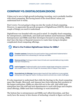# **COMPANY #3: DIGITALOCEAN (DOCN)**

Unless you're new to high-growth technology investing, you're probably familiar with cloud computing. But having heard of the cloud doesn't mean you understand how it works.

Don't worry; I'm not going to drag you into the weeds of cloud computing. However, to appreciate the growth prospects of DigitalOcean (DOCN), there are a couple of things you need to understand.

DigitalOcean was founded with one goal in mind: To simplify cloud computing for entrepreneurs, individuals, and small and medium-sized businesses (SMBs). Entrepreneurs and SMBs need their developers focused on innovating. SMBs don't have the time or financial resources to waste time trying to decipher complicated cloud computing offerings.



It's also important to understand that while the big dogs in the cloud computing space like Google, Microsoft, and Amazon have been tailoring their products to the largest enterprises, SMBs are often left out in the cold. And while large enterprises have the staff and tech departments to work with large and complex cloud offerings, SMBs need their technology to work intuitively.

The bottom line is entrepreneurs and SMBs can't afford downtime, and they rarely have the money to hire dozens of technology wizards to figure out how to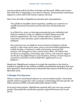use the products sold by the likes of Google and Microsoft. SMBs need to know that when they're integrating a new piece of software, documentation and human support is a mere click of the mouse or phone call away.

Here's how the folks at DigitalOcean describe their cloud platform:

*"Our platform simplifies cloud computing, enabling our customers to rapidly accelerate innovation and increase their productivity and agility.* 

*As of March 31, 2022, we had approximately 623,000 individual and business customers using our platform to build, deploy and scale software applications. Our users include software engineers, researchers, data scientists, system administrators, students, and hobbyists.* 

*Our customers use our platform across numerous industry verticals and for a wide range of use cases, such as web and mobile applications, website hosting, e-commerce, media and gaming, personal web projects, and managed services, among many others. We believe that our focus on simplicity, community, open-source, and customer support are the four key differentiators of our business, driving a broad range of customers around the world to build their applications on our platform."*

Simply put, DigitalOcean's mission is to make the transition to the cloud as seamless as possible for the millions of SMBs and individual developers that have been ignored by cloud infrastructure behemoths like Amazon Web Services and Microsoft Azure.

#### **A Recipe For Success**

When it comes to cloud-based software as a service (SaaS) models, I track three specific metrics to gauge how well a company is performing: Revenue growth, net dollar retention (NDR), and total addressable market (TAM).

In its most recent quarter, DigitalOcean reported 36% year-over-year revenue growth. That makes five consecutive quarters of growth between 28.7% and 36.7%.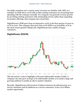Net dollar retention isn't a metric many investors are familiar with. Still, in a nutshell, an NDR above 100% tells us that existing customers are increasing their spending with the company annually. If a company can generate revenue growth by providing existing customers with outstanding service rather than expanding its product offerings, that company has a loyal base.

DigitalOcean's NDR grew from an impressive 102% in the first quarter of 2020 to 107% in 2021. The company then grew that 107% NDR to an incredible 117% in the most recent quarter! Simply put, DigitalOcean has a stable of happy customers.



#### **DigitalOcean (DOCN)**

The last metric I want to highlight is the total addressable market (TAM). A company can only grow as large as its addressable market, so it needs a large and growing audience to justify an above-market valuation.

Recently, DigitalOcean told investors it believes between its infrastructure as a service customers and its platform as a service customers, it has a \$72 billion market opportunity.